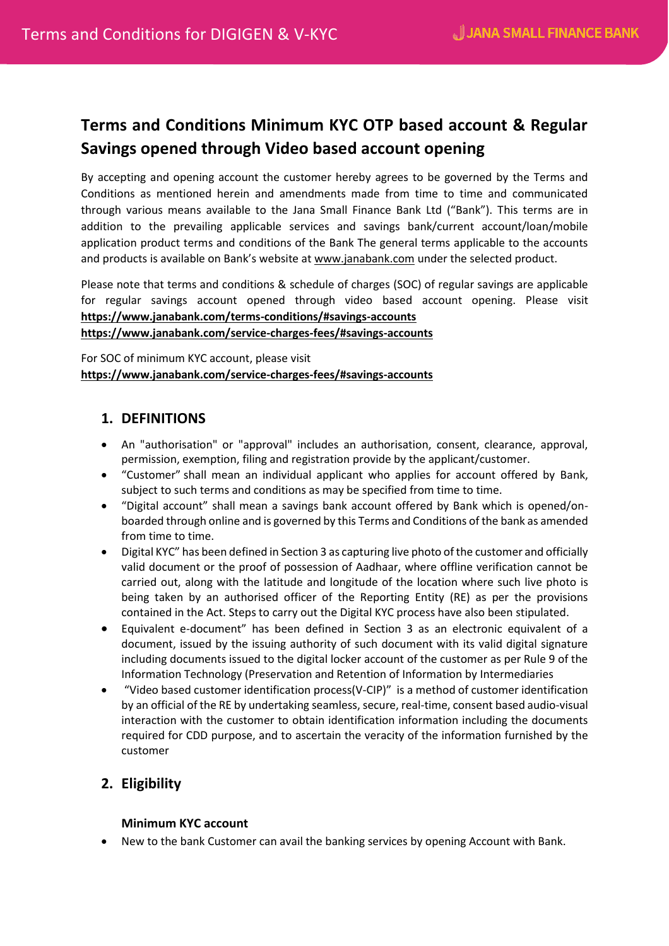# **Terms and Conditions Minimum KYC OTP based account & Regular Savings opened through Video based account opening**

By accepting and opening account the customer hereby agrees to be governed by the Terms and Conditions as mentioned herein and amendments made from time to time and communicated through various means available to the Jana Small Finance Bank Ltd ("Bank"). This terms are in addition to the prevailing applicable services and savings bank/current account/loan/mobile application product terms and conditions of the Bank The general terms applicable to the accounts and products is available on Bank's website at [www.janabank.com](http://www.janabank.com/) under the selected product.

Please note that terms and conditions & schedule of charges (SOC) of regular savings are applicable for regular savings account opened through video based account opening. Please visit **<https://www.janabank.com/terms-conditions/#savings-accounts> <https://www.janabank.com/service-charges-fees/#savings-accounts>**

For SOC of minimum KYC account, please visit **<https://www.janabank.com/service-charges-fees/#savings-accounts>**

# **1. DEFINITIONS**

- An "authorisation" or "approval" includes an authorisation, consent, clearance, approval, permission, exemption, filing and registration provide by the applicant/customer.
- "Customer" shall mean an individual applicant who applies for account offered by Bank, subject to such terms and conditions as may be specified from time to time.
- "Digital account" shall mean a savings bank account offered by Bank which is opened/onboarded through online and is governed by this Terms and Conditions of the bank as amended from time to time.
- Digital KYC" has been defined in Section 3 as capturing live photo of the customer and officially valid document or the proof of possession of Aadhaar, where offline verification cannot be carried out, along with the latitude and longitude of the location where such live photo is being taken by an authorised officer of the Reporting Entity (RE) as per the provisions contained in the Act. Steps to carry out the Digital KYC process have also been stipulated.
- Equivalent e-document" has been defined in Section 3 as an electronic equivalent of a document, issued by the issuing authority of such document with its valid digital signature including documents issued to the digital locker account of the customer as per Rule 9 of the Information Technology (Preservation and Retention of Information by Intermediaries
- "Video based customer identification process(V-CIP)" is a method of customer identification by an official of the RE by undertaking seamless, secure, real-time, consent based audio-visual interaction with the customer to obtain identification information including the documents required for CDD purpose, and to ascertain the veracity of the information furnished by the customer

# **2. Eligibility**

### **Minimum KYC account**

New to the bank Customer can avail the banking services by opening Account with Bank.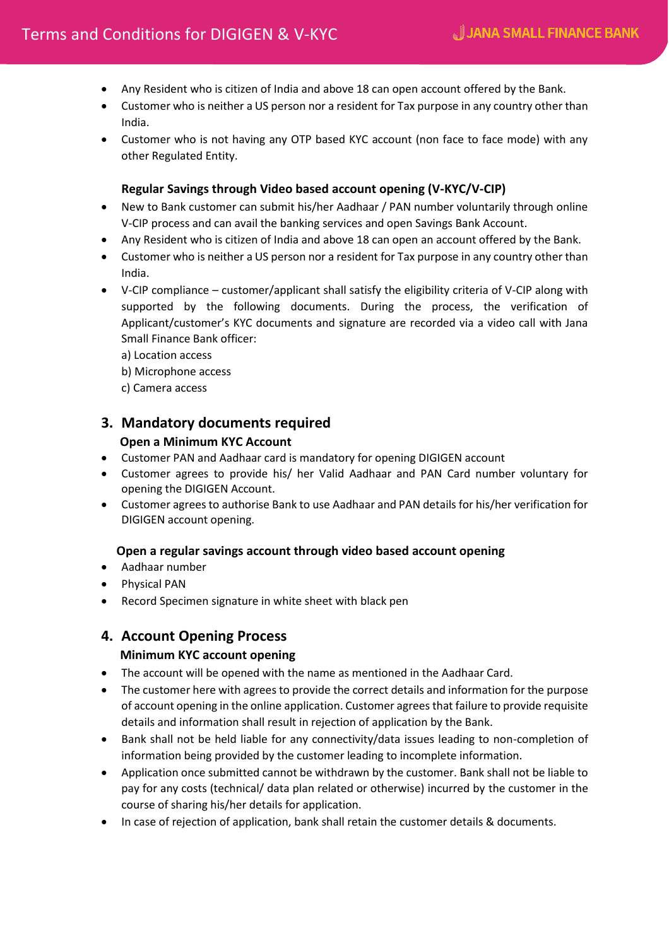- Any Resident who is citizen of India and above 18 can open account offered by the Bank.
- Customer who is neither a US person nor a resident for Tax purpose in any country other than India.
- Customer who is not having any OTP based KYC account (non face to face mode) with any other Regulated Entity.

### **Regular Savings through Video based account opening (V-KYC/V-CIP)**

- New to Bank customer can submit his/her Aadhaar / PAN number voluntarily through online V-CIP process and can avail the banking services and open Savings Bank Account.
- Any Resident who is citizen of India and above 18 can open an account offered by the Bank.
- Customer who is neither a US person nor a resident for Tax purpose in any country other than India.
- V-CIP compliance customer/applicant shall satisfy the eligibility criteria of V-CIP along with supported by the following documents. During the process, the verification of Applicant/customer's KYC documents and signature are recorded via a video call with Jana Small Finance Bank officer:
	- a) Location access
	- b) Microphone access
	- c) Camera access

# **3. Mandatory documents required**

### **Open a Minimum KYC Account**

- Customer PAN and Aadhaar card is mandatory for opening DIGIGEN account
- Customer agrees to provide his/ her Valid Aadhaar and PAN Card number voluntary for opening the DIGIGEN Account.
- Customer agrees to authorise Bank to use Aadhaar and PAN details for his/her verification for DIGIGEN account opening.

### **Open a regular savings account through video based account opening**

- Aadhaar number
- **•** Physical PAN
- Record Specimen signature in white sheet with black pen

# **4. Account Opening Process**

## **Minimum KYC account opening**

- The account will be opened with the name as mentioned in the Aadhaar Card.
- The customer here with agrees to provide the correct details and information for the purpose of account opening in the online application. Customer agrees that failure to provide requisite details and information shall result in rejection of application by the Bank.
- Bank shall not be held liable for any connectivity/data issues leading to non-completion of information being provided by the customer leading to incomplete information.
- Application once submitted cannot be withdrawn by the customer. Bank shall not be liable to pay for any costs (technical/ data plan related or otherwise) incurred by the customer in the course of sharing his/her details for application.
- In case of rejection of application, bank shall retain the customer details & documents.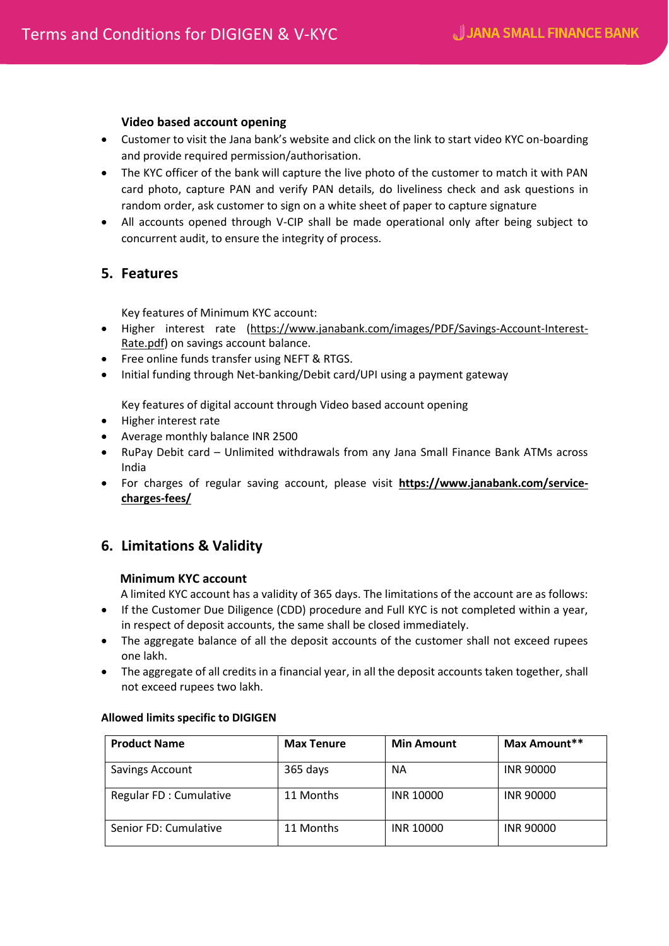#### **Video based account opening**

- Customer to visit the Jana bank's website and click on the link to start video KYC on-boarding and provide required permission/authorisation.
- The KYC officer of the bank will capture the live photo of the customer to match it with PAN card photo, capture PAN and verify PAN details, do liveliness check and ask questions in random order, ask customer to sign on a white sheet of paper to capture signature
- All accounts opened through V-CIP shall be made operational only after being subject to concurrent audit, to ensure the integrity of process.

## **5. Features**

Key features of Minimum KYC account:

- Higher interest rate [\(https://www.janabank.com/images/PDF/Savings-Account-Interest-](https://www.janabank.com/images/PDF/Savings-Account-Interest-Rate.pdf)[Rate.pdf\)](https://www.janabank.com/images/PDF/Savings-Account-Interest-Rate.pdf) on savings account balance.
- Free online funds transfer using NEFT & RTGS.
- Initial funding through Net-banking/Debit card/UPI using a payment gateway

Key features of digital account through Video based account opening

- Higher interest rate
- Average monthly balance INR 2500
- RuPay Debit card Unlimited withdrawals from any Jana Small Finance Bank ATMs across India
- For charges of regular saving account, please visit **[https://www.janabank.com/service](https://www.janabank.com/service-charges-fees/)[charges-fees/](https://www.janabank.com/service-charges-fees/)**

# **6. Limitations & Validity**

#### **Minimum KYC account**

A limited KYC account has a validity of 365 days. The limitations of the account are as follows:

- If the Customer Due Diligence (CDD) procedure and Full KYC is not completed within a year, in respect of deposit accounts, the same shall be closed immediately.
- The aggregate balance of all the deposit accounts of the customer shall not exceed rupees one lakh.
- The aggregate of all credits in a financial year, in all the deposit accounts taken together, shall not exceed rupees two lakh.

| <b>Product Name</b>    | <b>Max Tenure</b> | <b>Min Amount</b> | Max Amount**     |
|------------------------|-------------------|-------------------|------------------|
| <b>Savings Account</b> | 365 days          | <b>NA</b>         | <b>INR 90000</b> |
| Regular FD: Cumulative | 11 Months         | <b>INR 10000</b>  | <b>INR 90000</b> |
| Senior FD: Cumulative  | 11 Months         | <b>INR 10000</b>  | <b>INR 90000</b> |

#### **Allowed limits specific to DIGIGEN**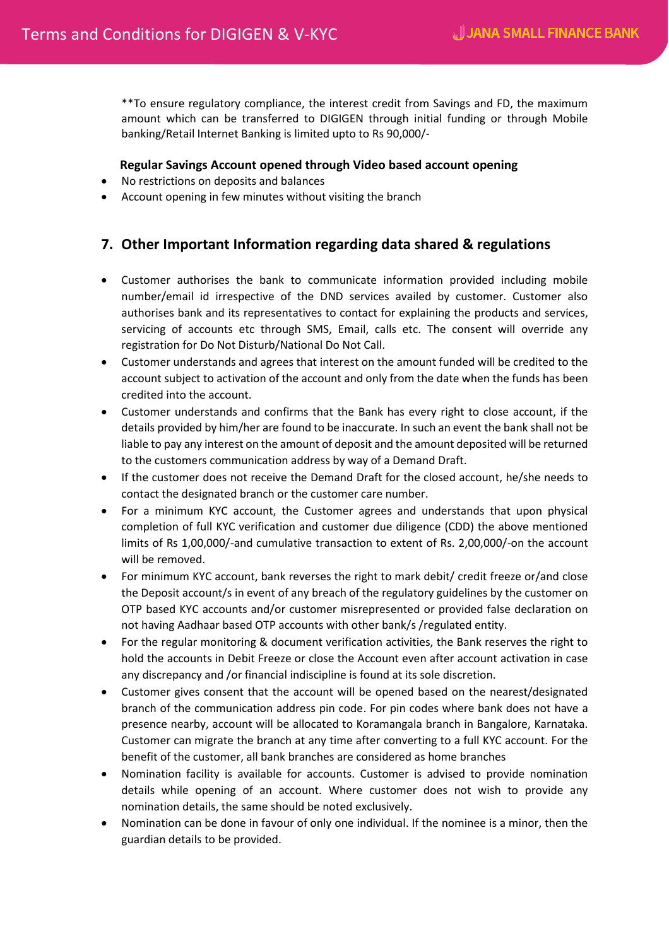\*\*To ensure regulatory compliance, the interest credit from Savings and FD, the maximum amount which can be transferred to DIGIGEN through initial funding or through Mobile banking/Retail Internet Banking is limited upto to Rs 90,000/-

#### **Regular Savings Account opened through Video based account opening**

- No restrictions on deposits and balances
- Account opening in few minutes without visiting the branch

# **7. Other Important Information regarding data shared & regulations**

- Customer authorises the bank to communicate information provided including mobile number/email id irrespective of the DND services availed by customer. Customer also authorises bank and its representatives to contact for explaining the products and services, servicing of accounts etc through SMS, Email, calls etc. The consent will override any registration for Do Not Disturb/National Do Not Call.
- Customer understands and agrees that interest on the amount funded will be credited to the account subject to activation of the account and only from the date when the funds has been credited into the account.
- Customer understands and confirms that the Bank has every right to close account, if the details provided by him/her are found to be inaccurate. In such an event the bank shall not be liable to pay any interest on the amount of deposit and the amount deposited will be returned to the customers communication address by way of a Demand Draft.
- If the customer does not receive the Demand Draft for the closed account, he/she needs to contact the designated branch or the customer care number.
- For a minimum KYC account, the Customer agrees and understands that upon physical completion of full KYC verification and customer due diligence (CDD) the above mentioned limits of Rs 1,00,000/-and cumulative transaction to extent of Rs. 2,00,000/-on the account will be removed.
- For minimum KYC account, bank reverses the right to mark debit/ credit freeze or/and close the Deposit account/s in event of any breach of the regulatory guidelines by the customer on OTP based KYC accounts and/or customer misrepresented or provided false declaration on not having Aadhaar based OTP accounts with other bank/s /regulated entity.
- For the regular monitoring & document verification activities, the Bank reserves the right to hold the accounts in Debit Freeze or close the Account even after account activation in case any discrepancy and /or financial indiscipline is found at its sole discretion.
- Customer gives consent that the account will be opened based on the nearest/designated branch of the communication address pin code. For pin codes where bank does not have a presence nearby, account will be allocated to Koramangala branch in Bangalore, Karnataka. Customer can migrate the branch at any time after converting to a full KYC account. For the benefit of the customer, all bank branches are considered as home branches
- Nomination facility is available for accounts. Customer is advised to provide nomination details while opening of an account. Where customer does not wish to provide any nomination details, the same should be noted exclusively.
- Nomination can be done in favour of only one individual. If the nominee is a minor, then the guardian details to be provided.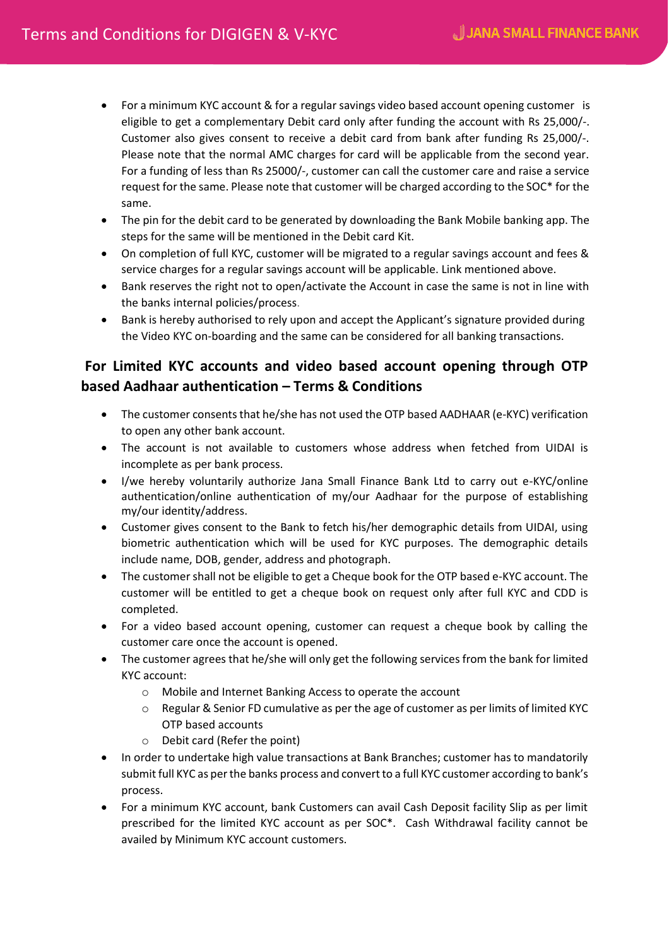- For a minimum KYC account & for a regular savings video based account opening customer is eligible to get a complementary Debit card only after funding the account with Rs 25,000/-. Customer also gives consent to receive a debit card from bank after funding Rs 25,000/-. Please note that the normal AMC charges for card will be applicable from the second year. For a funding of less than Rs 25000/-, customer can call the customer care and raise a service request for the same. Please note that customer will be charged according to the SOC\* for the same.
- The pin for the debit card to be generated by downloading the Bank Mobile banking app. The steps for the same will be mentioned in the Debit card Kit.
- On completion of full KYC, customer will be migrated to a regular savings account and fees & service charges for a regular savings account will be applicable. Link mentioned above.
- Bank reserves the right not to open/activate the Account in case the same is not in line with the banks internal policies/process.
- Bank is hereby authorised to rely upon and accept the Applicant's signature provided during the Video KYC on-boarding and the same can be considered for all banking transactions.

# **For Limited KYC accounts and video based account opening through OTP based Aadhaar authentication – Terms & Conditions**

- The customer consents that he/she has not used the OTP based AADHAAR (e-KYC) verification to open any other bank account.
- The account is not available to customers whose address when fetched from UIDAI is incomplete as per bank process.
- I/we hereby voluntarily authorize Jana Small Finance Bank Ltd to carry out e-KYC/online authentication/online authentication of my/our Aadhaar for the purpose of establishing my/our identity/address.
- Customer gives consent to the Bank to fetch his/her demographic details from UIDAI, using biometric authentication which will be used for KYC purposes. The demographic details include name, DOB, gender, address and photograph.
- The customer shall not be eligible to get a Cheque book for the OTP based e-KYC account. The customer will be entitled to get a cheque book on request only after full KYC and CDD is completed.
- For a video based account opening, customer can request a cheque book by calling the customer care once the account is opened.
- The customer agrees that he/she will only get the following services from the bank for limited KYC account:
	- o Mobile and Internet Banking Access to operate the account
	- $\circ$  Regular & Senior FD cumulative as per the age of customer as per limits of limited KYC OTP based accounts
	- o Debit card (Refer the point)
- In order to undertake high value transactions at Bank Branches; customer has to mandatorily submit full KYC as per the banks process and convert to a full KYC customer according to bank's process.
- For a minimum KYC account, bank Customers can avail Cash Deposit facility Slip as per limit prescribed for the limited KYC account as per SOC\*. Cash Withdrawal facility cannot be availed by Minimum KYC account customers.